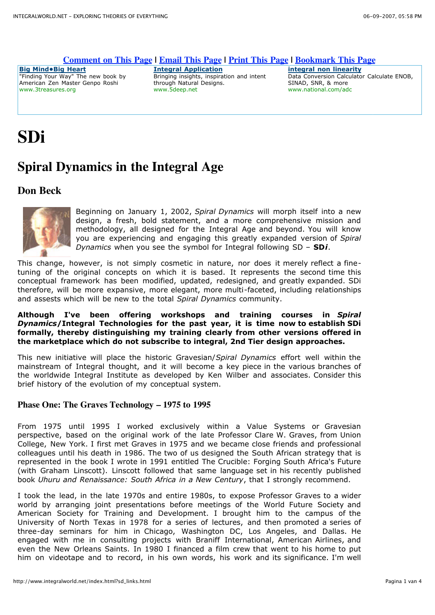#### **Comment on This Page | Email This Page | Print This Page | Bookmark This Page**

**Big Mind•Big Heart** "Finding Your Way" The new book by American Zen Master Genpo Roshi www.3treasures.org

#### **Integral Application**

Bringing insights, inspiration and intent through Natural Designs. www.5deep.net

**integral non linearity** Data Conversion Calculator Calculate ENOB, SINAD, SNR, & more www.national.com/adc

# **SDi**

# **Spiral Dynamics in the Integral Age**

## **Don Beck**



Beginning on January 1, 2002, *Spiral Dynamics* will morph itself into a new design, a fresh, bold statement, and a more comprehensive mission and methodology, all designed for the Integral Age and beyond. You will know you are experiencing and engaging this greatly expanded version of *Spiral Dynamics* when you see the symbol for Integral following SD – **SD***i*.

This change, however, is not simply cosmetic in nature, nor does it merely reflect a finetuning of the original concepts on which it is based. It represents the second time this conceptual framework has been modified, updated, redesigned, and greatly expanded. SDi therefore, will be more expansive, more elegant, more multi-faceted, including relationships and assests which will be new to the total *Spiral Dynamics* community.

#### **Although I've been offering workshops and training courses in** *Spiral Dynamics***/Integral Technologies for the past year, it is time now to establish SDi formally, thereby distinguishing my training clearly from other versions offered in the marketplace which do not subscribe to integral, 2nd Tier design approaches.**

This new initiative will place the historic Gravesian/*Spiral Dynamics* effort well within the mainstream of Integral thought, and it will become a key piece in the various branches of the worldwide Integral Institute as developed by Ken Wilber and associates. Consider this brief history of the evolution of my conceptual system.

#### **Phase One: The Graves Technology – 1975 to 1995**

From 1975 until 1995 I worked exclusively within a Value Systems or Gravesian perspective, based on the original work of the late Professor Clare W. Graves, from Union College, New York. I first met Graves in 1975 and we became close friends and professional colleagues until his death in 1986. The two of us designed the South African strategy that is represented in the book I wrote in 1991 entitled The Crucible: Forging South Africa's Future (with Graham Linscott). Linscott followed that same language set in his recently published book *Uhuru and Renaissance: South Africa in a New Century*, that I strongly recommend.

I took the lead, in the late 1970s and entire 1980s, to expose Professor Graves to a wider world by arranging joint presentations before meetings of the World Future Society and American Society for Training and Development. I brought him to the campus of the University of North Texas in 1978 for a series of lectures, and then promoted a series of three-day seminars for him in Chicago, Washington DC, Los Angeles, and Dallas. He engaged with me in consulting projects with Braniff International, American Airlines, and even the New Orleans Saints. In 1980 I financed a film crew that went to his home to put him on videotape and to record, in his own words, his work and its significance. I'm well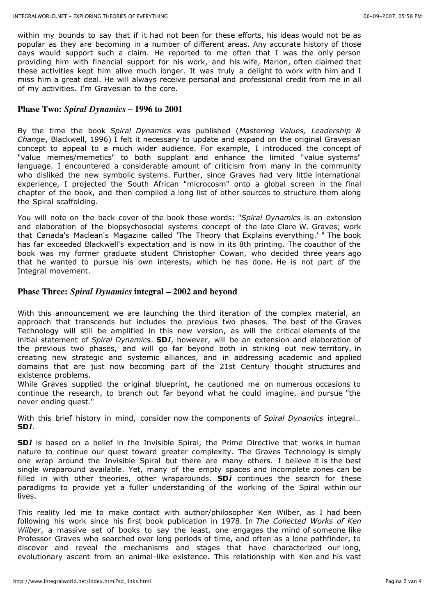within my bounds to say that if it had not been for these efforts, his ideas would not be as popular as they are becoming in a number of different areas. Any accurate history of those days would support such a claim. He reported to me often that I was the only person providing him with financial support for his work, and his wife, Marion, often claimed that these activities kept him alive much longer. It was truly a delight to work with him and I miss him a great deal. He will always receive personal and professional credit from me in all of my activities. I'm Gravesian to the core.

#### **Phase Two:** *Spiral Dynamics* **– 1996 to 2001**

By the time the book *Spiral Dynamics* was published (*Mastering Values, Leadership & Change*, Blackwell, 1996) I felt it necessary to update and expand on the original Gravesian concept to appeal to a much wider audience. For example, I introduced the concept of "value memes/memetics" to both supplant and enhance the limited "value systems" language. I encountered a considerable amount of criticism from many in the community who disliked the new symbolic systems. Further, since Graves had very little international experience, I projected the South African "microcosm" onto a global screen in the final chapter of the book, and then compiled a long list of other sources to structure them along the Spiral scaffolding.

You will note on the back cover of the book these words: "*Spiral Dynamics* is an extension and elaboration of the biopsychosocial systems concept of the late Clare W. Graves; work that Canada's Maclean's Magazine called 'The Theory that Explains everything.' " The book has far exceeded Blackwell's expectation and is now in its 8th printing. The coauthor of the book was my former graduate student Christopher Cowan, who decided three years ago that he wanted to pursue his own interests, which he has done. He is not part of the Integral movement.

#### **Phase Three:** *Spiral Dynamics* **integral – 2002 and beyond**

With this announcement we are launching the third iteration of the complex material, an approach that transcends but includes the previous two phases. The best of the Graves Technology will still be amplified in this new version, as will the critical elements of the initial statement of *Spiral Dynamics*. **SD***i*, however, will be an extension and elaboration of the previous two phases, and will go far beyond both in striking out new territory, in creating new strategic and systemic alliances, and in addressing academic and applied domains that are just now becoming part of the 21st Century thought structures and existence problems.

While Graves supplied the original blueprint, he cautioned me on numerous occasions to continue the research, to branch out far beyond what he could imagine, and pursue "the never ending quest."

With this brief history in mind, consider now the components of *Spiral Dynamics* integral… **SD***i*.

SD*i* is based on a belief in the Invisible Spiral, the Prime Directive that works in human nature to continue our quest toward greater complexity. The Graves Technology is simply one wrap around the Invisible Spiral but there are many others. I believe it is the best single wraparound available. Yet, many of the empty spaces and incomplete zones can be filled in with other theories, other wraparounds. **SD***i* continues the search for these paradigms to provide yet a fuller understanding of the working of the Spiral within our lives.

This reality led me to make contact with author/philosopher Ken Wilber, as I had been following his work since his first book publication in 1978. In *The Collected Works of Ken Wilber*, a massive set of books to say the least, one engages the mind of someone like Professor Graves who searched over long periods of time, and often as a lone pathfinder, to discover and reveal the mechanisms and stages that have characterized our long, evolutionary ascent from an animal-like existence. This relationship with Ken and his vast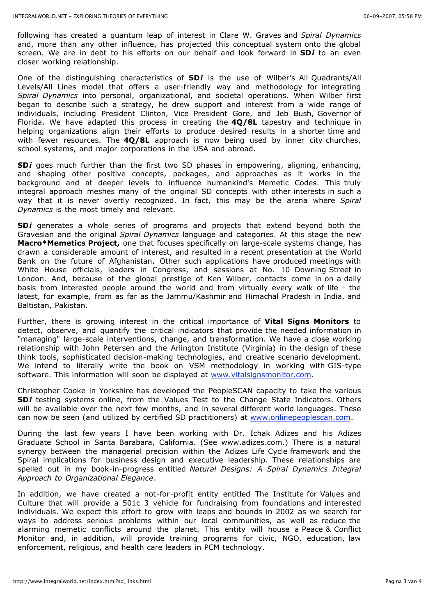following has created a quantum leap of interest in Clare W. Graves and *Spiral Dynamics* and, more than any other influence, has projected this conceptual system onto the global screen. We are in debt to his efforts on our behalf and look forward in **SD***i* to an even closer working relationship.

One of the distinguishing characteristics of **SD***i* is the use of Wilber's All Quadrants/All Levels/All Lines model that offers a user-friendly way and methodology for integrating *Spiral Dynamics* into personal, organizational, and societal operations. When Wilber first began to describe such a strategy, he drew support and interest from a wide range of individuals, including President Clinton, Vice President Gore, and Jeb Bush, Governor of Florida. We have adapted this process in creating the **4Q/8L** tapestry and technique in helping organizations align their efforts to produce desired results in a shorter time and with fewer resources. The **4Q/8L** approach is now being used by inner city churches, school systems, and major corporations in the USA and abroad.

**SD***i* goes much further than the first two SD phases in empowering, aligning, enhancing, and shaping other positive concepts, packages, and approaches as it works in the background and at deeper levels to influence humankind's Memetic Codes. This truly integral approach meshes many of the original SD concepts with other interests in such a way that it is never overtly recognized. In fact, this may be the arena where *Spiral Dynamics* is the most timely and relevant.

**SD***i* generates a whole series of programs and projects that extend beyond both the Gravesian and the original *Spiral Dynamics* language and categories. At this stage the new **Macro\*Memetics Project,** one that focuses specifically on large-scale systems change, has drawn a considerable amount of interest, and resulted in a recent presentation at the World Bank on the future of Afghanistan. Other such applications have produced meetings with White House officials, leaders in Congress, and sessions at No. 10 Downing Street in London. And, because of the global prestige of Ken Wilber, contacts come in on a daily basis from interested people around the world and from virtually every walk of life – the latest, for example, from as far as the Jammu/Kashmir and Himachal Pradesh in India, and Baltistan, Pakistan.

Further, there is growing interest in the critical importance of **Vital Signs Monitors** to detect, observe, and quantify the critical indicators that provide the needed information in "managing" large-scale interventions, change, and transformation. We have a close working relationship with John Petersen and the Arlington Institute (Virginia) in the design of these think tools, sophisticated decision-making technologies, and creative scenario development. We intend to literally write the book on VSM methodology in working with GIS-type software. This information will soon be displayed at www.vitalsignsmonitor.com.

Christopher Cooke in Yorkshire has developed the PeopleSCAN capacity to take the various **SD***i* testing systems online, from the Values Test to the Change State Indicators. Others will be available over the next few months, and in several different world languages. These can now be seen (and utilized by certified SD practitioners) at www.onlinepeoplescan.com.

During the last few years I have been working with Dr. Ichak Adizes and his Adizes Graduate School in Santa Barabara, California. (See www.adizes.com.) There is a natural synergy between the managerial precision within the Adizes Life Cycle framework and the Spiral implications for business design and executive leadership. These relationships are spelled out in my book-in-progress entitled *Natural Designs: A Spiral Dynamics Integral Approach to Organizational Elegance*.

In addition, we have created a not-for-profit entity entitled The Institute for Values and Culture that will provide a 501c 3 vehicle for fundraising from foundations and interested individuals. We expect this effort to grow with leaps and bounds in 2002 as we search for ways to address serious problems within our local communities, as well as reduce the alarming memetic conflicts around the planet. This entity will house a Peace & Conflict Monitor and, in addition, will provide training programs for civic, NGO, education, law enforcement, religious, and health care leaders in PCM technology.